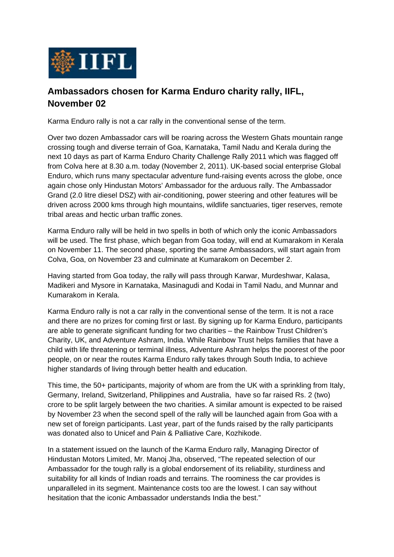

## **Ambassadors chosen for Karma Enduro charity rally, IIFL, November 02**

Karma Enduro rally is not a car rally in the conventional sense of the term.

Over two dozen Ambassador cars will be roaring across the Western Ghats mountain range crossing tough and diverse terrain of Goa, Karnataka, Tamil Nadu and Kerala during the next 10 days as part of Karma Enduro Charity Challenge Rally 2011 which was flagged off from Colva here at 8.30 a.m. today (November 2, 2011). UK-based social enterprise Global Enduro, which runs many spectacular adventure fund-raising events across the globe, once again chose only Hindustan Motors' Ambassador for the arduous rally. The Ambassador Grand (2.0 litre diesel DSZ) with air-conditioning, power steering and other features will be driven across 2000 kms through high mountains, wildlife sanctuaries, tiger reserves, remote tribal areas and hectic urban traffic zones.

Karma Enduro rally will be held in two spells in both of which only the iconic Ambassadors will be used. The first phase, which began from Goa today, will end at Kumarakom in Kerala on November 11. The second phase, sporting the same Ambassadors, will start again from Colva, Goa, on November 23 and culminate at Kumarakom on December 2.

Having started from Goa today, the rally will pass through Karwar, Murdeshwar, Kalasa, Madikeri and Mysore in Karnataka, Masinagudi and Kodai in Tamil Nadu, and Munnar and Kumarakom in Kerala.

Karma Enduro rally is not a car rally in the conventional sense of the term. It is not a race and there are no prizes for coming first or last. By signing up for Karma Enduro, participants are able to generate significant funding for two charities – the Rainbow Trust Children's Charity, UK, and Adventure Ashram, India. While Rainbow Trust helps families that have a child with life threatening or terminal illness, Adventure Ashram helps the poorest of the poor people, on or near the routes Karma Enduro rally takes through South India, to achieve higher standards of living through better health and education.

This time, the 50+ participants, majority of whom are from the UK with a sprinkling from Italy, Germany, Ireland, Switzerland, Philippines and Australia, have so far raised Rs. 2 (two) crore to be split largely between the two charities. A similar amount is expected to be raised by November 23 when the second spell of the rally will be launched again from Goa with a new set of foreign participants. Last year, part of the funds raised by the rally participants was donated also to Unicef and Pain & Palliative Care, Kozhikode.

In a statement issued on the launch of the Karma Enduro rally, Managing Director of Hindustan Motors Limited, Mr. Manoj Jha, observed, "The repeated selection of our Ambassador for the tough rally is a global endorsement of its reliability, sturdiness and suitability for all kinds of Indian roads and terrains. The roominess the car provides is unparalleled in its segment. Maintenance costs too are the lowest. I can say without hesitation that the iconic Ambassador understands India the best."